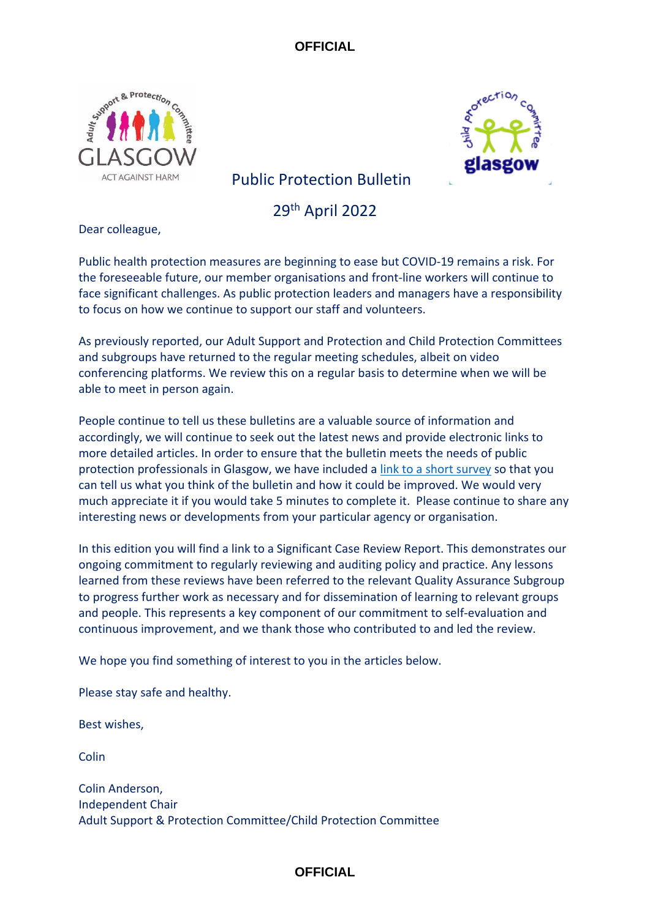



# Public Protection Bulletin

29th April 2022

Dear colleague,

Public health protection measures are beginning to ease but COVID-19 remains a risk. For the foreseeable future, our member organisations and front-line workers will continue to face significant challenges. As public protection leaders and managers have a responsibility to focus on how we continue to support our staff and volunteers.

As previously reported, our Adult Support and Protection and Child Protection Committees and subgroups have returned to the regular meeting schedules, albeit on video conferencing platforms. We review this on a regular basis to determine when we will be able to meet in person again.

People continue to tell us these bulletins are a valuable source of information and accordingly, we will continue to seek out the latest news and provide electronic links to more detailed articles. In order to ensure that the bulletin meets the needs of public protection professionals in Glasgow, we have included a [link to a short survey](https://www.smartsurvey.co.uk/s/C6WBPK/) so that you can tell us what you think of the bulletin and how it could be improved. We would very much appreciate it if you would take 5 minutes to complete it. Please continue to share any interesting news or developments from your particular agency or organisation.

In this edition you will find a link to a Significant Case Review Report. This demonstrates our ongoing commitment to regularly reviewing and auditing policy and practice. Any lessons learned from these reviews have been referred to the relevant Quality Assurance Subgroup to progress further work as necessary and for dissemination of learning to relevant groups and people. This represents a key component of our commitment to self-evaluation and continuous improvement, and we thank those who contributed to and led the review.

We hope you find something of interest to you in the articles below.

Please stay safe and healthy.

Best wishes,

**Colin** 

Colin Anderson, Independent Chair Adult Support & Protection Committee/Child Protection Committee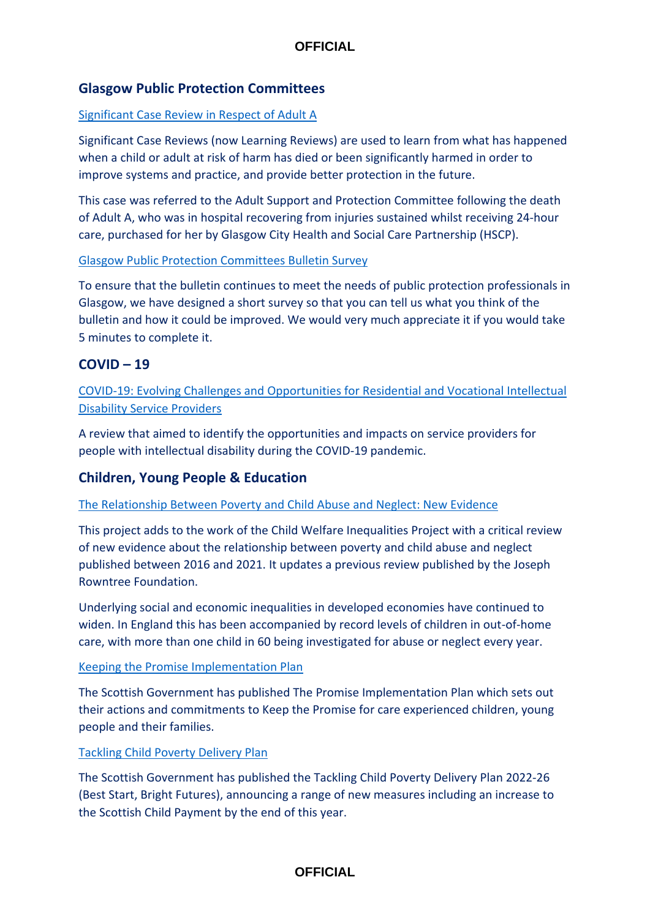## **Glasgow Public Protection Committees**

### [Significant Case Review in Respect of Adult A](https://www.glasgowadultprotection.org.uk/CHttpHandler.ashx?id=56931&p=0)

Significant Case Reviews (now Learning Reviews) are used to learn from what has happened when a child or adult at risk of harm has died or been significantly harmed in order to improve systems and practice, and provide better protection in the future.

This case was referred to the Adult Support and Protection Committee following the death of Adult A, who was in hospital recovering from injuries sustained whilst receiving 24-hour care, purchased for her by Glasgow City Health and Social Care Partnership (HSCP).

#### [Glasgow Public Protection Committees Bulletin Survey](https://www.smartsurvey.co.uk/s/C6WBPK/)

To ensure that the bulletin continues to meet the needs of public protection professionals in Glasgow, we have designed a short survey so that you can tell us what you think of the bulletin and how it could be improved. We would very much appreciate it if you would take 5 minutes to complete it.

## **COVID – 19**

[COVID-19: Evolving Challenges and Opportunities for Residential and Vocational Intellectual](https://onlinelibrary.wiley.com/doi/full/10.1111/jppi.12414)  [Disability Service Providers](https://onlinelibrary.wiley.com/doi/full/10.1111/jppi.12414)

A review that aimed to identify the opportunities and impacts on service providers for people with intellectual disability during the COVID-19 pandemic.

## **Children, Young People & Education**

#### [The Relationship Between Poverty and Child Abuse and Neglect: New Evidence](https://research.hud.ac.uk/institutes-centres/cacs/projects/the-relationship-between-poverty-and-child-abuse/)

This project adds to the work of the Child Welfare Inequalities Project with a critical review of new evidence about the relationship between poverty and child abuse and neglect published between 2016 and 2021. It updates a previous review published by the Joseph Rowntree Foundation.

Underlying social and economic inequalities in developed economies have continued to widen. In England this has been accompanied by record levels of children in out-of-home care, with more than one child in 60 being investigated for abuse or neglect every year.

#### [Keeping the Promise Implementation Plan](https://www.gov.scot/publications/keeping-promise-implementation-plan/pages/2/)

The Scottish Government has published The Promise Implementation Plan which sets out their actions and commitments to Keep the Promise for care experienced children, young people and their families.

#### [Tackling Child Poverty Delivery Plan](https://www.gov.scot/publications/best-start-bright-futures-tackling-child-poverty-delivery-plan-2022-26/)

The Scottish Government has published the Tackling Child Poverty Delivery Plan 2022-26 (Best Start, Bright Futures), announcing a range of new measures including an increase to the Scottish Child Payment by the end of this year.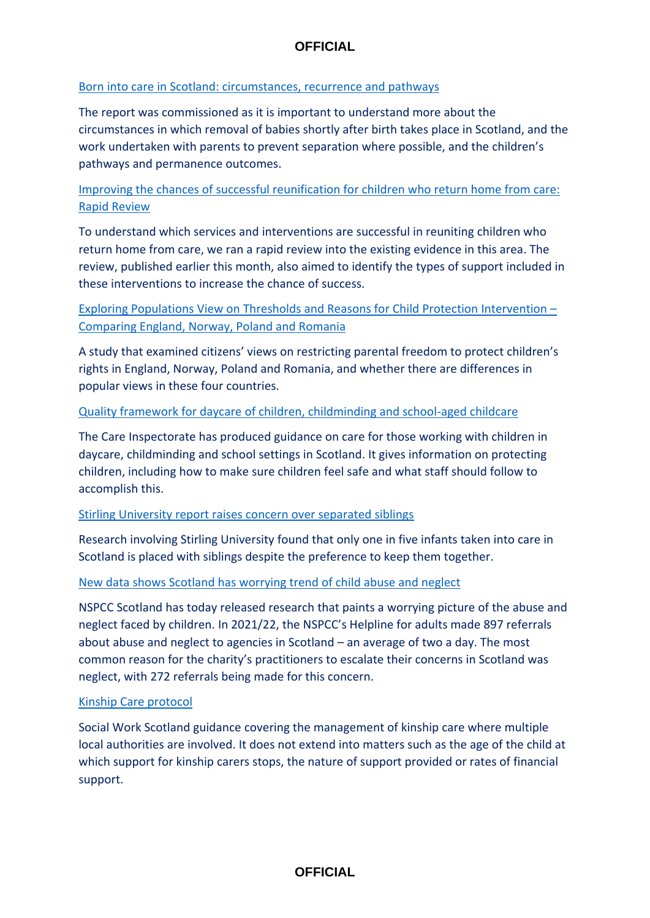### [Born into care in Scotland: circumstances, recurrence and pathways](https://www.gov.scot/publications/born-care-scotland-circumstances-recurrence-pathways/)

The report was commissioned as it is important to understand more about the circumstances in which removal of babies shortly after birth takes place in Scotland, and the work undertaken with parents to prevent separation where possible, and the children's pathways and permanence outcomes.

## [Improving the chances of successful reunification for children who return home from care:](https://whatworks-csc.org.uk/research-report/improving-the-chances-of-successful-reunification-for-children-who-return-home-from-care-a-rapid-evidence-review/)  [Rapid Review](https://whatworks-csc.org.uk/research-report/improving-the-chances-of-successful-reunification-for-children-who-return-home-from-care-a-rapid-evidence-review/)

To understand which services and interventions are successful in reuniting children who return home from care, we ran a rapid review into the existing evidence in this area. The review, published earlier this month, also aimed to identify the types of support included in these interventions to increase the chance of success.

## [Exploring Populations View on Thresholds and Reasons for Child Protection Intervention](https://www.tandfonline.com/doi/full/10.1080/13691457.2021.1995706) – [Comparing England, Norway, Poland and Romania](https://www.tandfonline.com/doi/full/10.1080/13691457.2021.1995706)

A study that examined citizens' views on restricting parental freedom to protect children's rights in England, Norway, Poland and Romania, and whether there are differences in popular views in these four countries.

### [Quality framework for daycare of children, childminding and school-aged childcare](https://www.careinspectorate.com/images/documents/6578/Quality%20framework%20for%20early%20learning%20and%20childcare%202022%20-%20final.pdf)

The Care Inspectorate has produced guidance on care for those working with children in daycare, childminding and school settings in Scotland. It gives information on protecting children, including how to make sure children feel safe and what staff should follow to accomplish this.

#### [Stirling University report raises concern over separated siblings](https://www.heraldscotland.com/news/homenews/20065882.stirling-university-report-raises-concern-separated-siblings/)

Research involving Stirling University found that only one in five infants taken into care in Scotland is placed with siblings despite the preference to keep them together.

## [New data shows Scotland has worrying trend of child abuse and neglect](https://tfn.scot/news/new-data-shows-scotland-has-worrying-trend-of-child-abuse-and-neglect?utm_medium=email&utm_campaign=Weekly%20Third%20Force%20News%20-%20families-and-young-people&utm_content=Weekly%20Third%20Force%20News%20-%20families-and-young-people+CID_0e2cb39d6c18b968c3f31dbd5f1b5bae&utm_source=tfn&utm_term=New%20data%20shows%20Scotland%20has%20worrying%20trend%20of%20child%20abuse%20and%20neglect)

NSPCC Scotland has today released research that paints a worrying picture of the abuse and neglect faced by children. In 2021/22, the NSPCC's Helpline for adults made 897 referrals about abuse and neglect to agencies in Scotland – an average of two a day. The most common reason for the charity's practitioners to escalate their concerns in Scotland was neglect, with 272 referrals being made for this concern.

#### [Kinship Care protocol](https://socialworkscotland.org/guidance/kinship-care-protocol/)

Social Work Scotland guidance covering the management of kinship care where multiple local authorities are involved. It does not extend into matters such as the age of the child at which support for kinship carers stops, the nature of support provided or rates of financial support.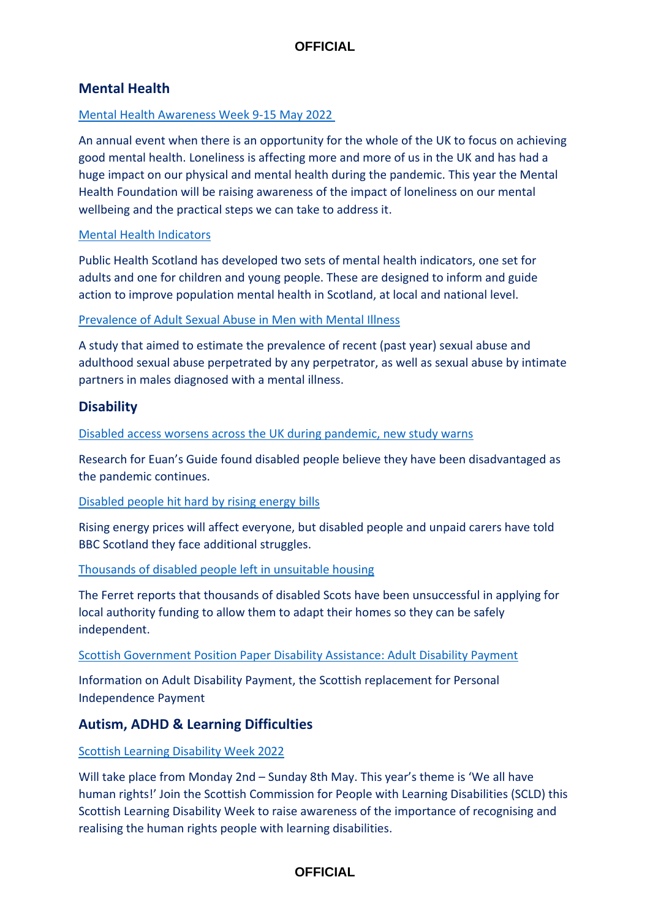## **Mental Health**

### [Mental Health Awareness Week 9-15 May 2022](https://www.mentalhealth.org.uk/campaigns/mental-health-awareness-week?bbeml=tp-EbFsTopOv0SfkgIhAgzciA.jo5f5-BGaqka38UYlIOdzHg.rSnYdZaYJKEal7EaxuA4Taw.l4VkZr4A-iUGYtPB0ybAETQ)

An annual event when there is an opportunity for the whole of the UK to focus on achieving good mental health. Loneliness is affecting more and more of us in the UK and has had a huge impact on our physical and mental health during the pandemic. This year the Mental Health Foundation will be raising awareness of the impact of loneliness on our mental wellbeing and the practical steps we can take to address it.

### [Mental Health Indicators](https://www.careknowledge.com/curated/2022/mar/mental-health-indicators?y=NEVP83Z7PJSYDUEWMU8MLQXQKGHR7S87HD4YJU375TZYGDJ53LW7JY52EJ9BXZFU&z=DWWVVYQJ4DVXA&e=Z97RRSY7ZQ3U7X44CR8WF9BY82&utm_source=https%3a%2f%2fnews.pavpub.com%2folmgroup_prolz%2f&utm_medium=email&utm_campaign=CK+Friday+25th+March+Scotland&utm_term=A+guide+to+creativity+in+social+work%2c+and+much+more&utm_content=420486&gator_td=e%2buApRoZg42TzGxiugSgwfhn7SxVdIzsWTOGm3UKPaO0ecX8w6KVhN1Xb6M8QXF7SjLHrLL1HT8fQp2mjt2qDTtzOVHAy9%2bOPVRr1l9FXXnN4nQdhUu%2fUW0w9wh%2fR9%2bo1P%2fziYWf7K18g99CEVBVJuog7kehqFX%2b%2bB4XfKTv3kQ%3d)

Public Health Scotland has developed two sets of mental health indicators, one set for adults and one for children and young people. These are designed to inform and guide action to improve population mental health in Scotland, at local and national level.

### [Prevalence of Adult Sexual Abuse in Men with Mental Illness](https://www.cambridge.org/core/journals/bjpsych-open/article/prevalence-of-adult-sexual-abuse-in-men-with-mental-illness-bayesian-metaanalysis/1E561E9F60A68D91282AE2DBD814E3AB)

A study that aimed to estimate the prevalence of recent (past year) sexual abuse and adulthood sexual abuse perpetrated by any perpetrator, as well as sexual abuse by intimate partners in males diagnosed with a mental illness.

## **Disability**

[Disabled access worsens across the UK during pandemic, new study warns](https://tfn.scot/news/disabled-access-worsens-across-the-uk-during-pandemic-new-study-warns?utm_medium=email&utm_campaign=TFN%20digest%20Tuesday%2029%20March&utm_content=TFN%20digest%20Tuesday%2029%20March+CID_e51ad7832066e8c721a85c182f274b3e&utm_source=tfn&utm_term=Disabled%20access%20worsens%20across%20the%20UK%20during%20pandemic%20new%20study%20warns)

Research for Euan's Guide found disabled people believe they have been disadvantaged as the pandemic continues.

#### [Disabled people hit hard by rising energy bills](https://www.bbc.co.uk/news/uk-scotland-61190980)

Rising energy prices will affect everyone, but disabled people and unpaid carers have told BBC Scotland they face additional struggles.

#### [Thousands of disabled people left in unsuitable housing](https://theferret.scot/thousands-disabled-people-left-unsuitable-housing/)

The Ferret reports that thousands of disabled Scots have been unsuccessful in applying for local authority funding to allow them to adapt their homes so they can be safely independent.

#### [Scottish Government Position Paper Disability Assistance: Adult Disability Payment](https://www.gov.scot/publications/adult-disability-paper-policy-position-paper/)

Information on Adult Disability Payment, the Scottish replacement for Personal Independence Payment

## **Autism, ADHD & Learning Difficulties**

## [Scottish Learning Disability Week 2022](https://www.scld.org.uk/scottish-learning-disability-week-2022/)

Will take place from Monday 2nd – Sunday 8th May. This year's theme is 'We all have human rights!' Join the Scottish Commission for People with Learning Disabilities (SCLD) this Scottish Learning Disability Week to raise awareness of the importance of recognising and realising the human rights people with learning disabilities.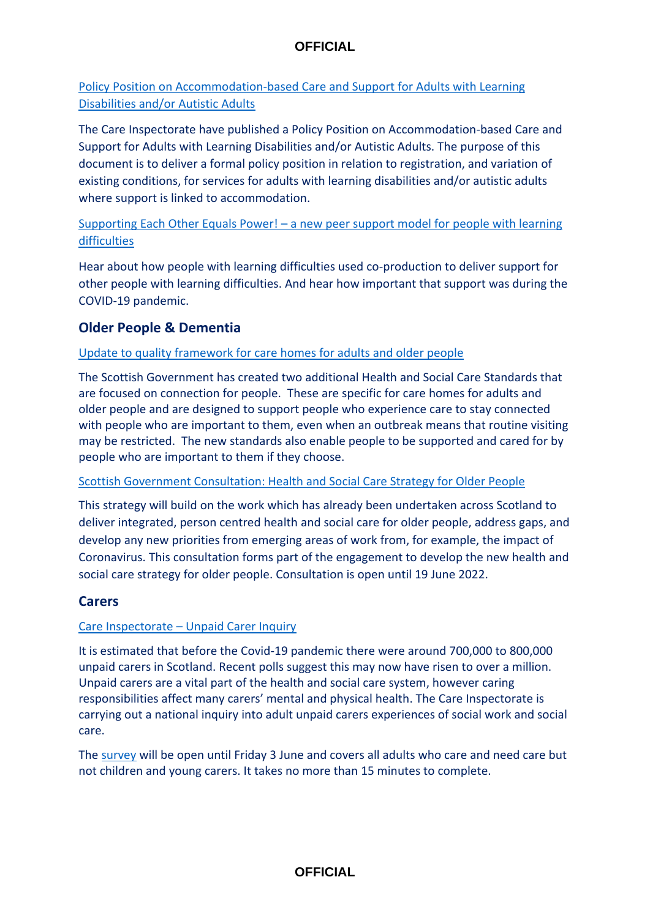# [Policy Position on Accommodation-based Care and Support for Adults with Learning](https://www.careinspectorate.com/images/documents/6603/Policy%20Position%20on%20Accommodation-based%20Care%20and%20Support%20for%20Adults%20with%20Learning%20Disabilities%20and-or%20Autistic%20Adults.pdf?utm_medium=email&utm_source=govdelivery)  [Disabilities and/or Autistic Adults](https://www.careinspectorate.com/images/documents/6603/Policy%20Position%20on%20Accommodation-based%20Care%20and%20Support%20for%20Adults%20with%20Learning%20Disabilities%20and-or%20Autistic%20Adults.pdf?utm_medium=email&utm_source=govdelivery)

The Care Inspectorate have published a Policy Position on Accommodation-based Care and Support for Adults with Learning Disabilities and/or Autistic Adults. The purpose of this document is to deliver a formal policy position in relation to registration, and variation of existing conditions, for services for adults with learning disabilities and/or autistic adults where support is linked to accommodation.

## Supporting Each Other Equals Power! – [a new peer support model for people with learning](https://www.scie.org.uk/co-production/seoep/webinar20220315)  [difficulties](https://www.scie.org.uk/co-production/seoep/webinar20220315)

Hear about how people with learning difficulties used co-production to deliver support for other people with learning difficulties. And hear how important that support was during the COVID-19 pandemic.

# **Older People & Dementia**

## [Update to quality framework for care homes for adults and older people](https://www.careinspectorate.com/images/documents/6653/Quality%20framework%20for%20care%20homes%20for%20adults%20and%20older%20people%20APRIL%202022.pdf?utm_medium=email&utm_source=govdelivery)

The Scottish Government has created two additional Health and Social Care Standards that are focused on connection for people. These are specific for care homes for adults and older people and are designed to support people who experience care to stay connected with people who are important to them, even when an outbreak means that routine visiting may be restricted. The new standards also enable people to be supported and cared for by people who are important to them if they choose.

## [Scottish Government Consultation: Health and Social Care Strategy for Older People](https://www.gov.scot/publications/consultation-health-social-care-strategy-older-people/pages/6/)

This strategy will build on the work which has already been undertaken across Scotland to deliver integrated, person centred health and social care for older people, address gaps, and develop any new priorities from emerging areas of work from, for example, the impact of Coronavirus. This consultation forms part of the engagement to develop the new health and social care strategy for older people. Consultation is open until 19 June 2022.

## **Carers**

## Care Inspectorate – [Unpaid Carer Inquiry](https://www.careinspectorate.com/index.php/news/6638-care-inspectorate-unpaid-carer-inquiry?utm_medium=email&utm_source=govdelivery)

It is estimated that before the Covid-19 pandemic there were around 700,000 to 800,000 unpaid carers in Scotland. Recent polls suggest this may now have risen to over a million. Unpaid carers are a vital part of the health and social care system, however caring responsibilities affect many carers' mental and physical health. The Care Inspectorate is carrying out a national inquiry into adult unpaid carers experiences of social work and social care.

The [survey](https://www.smartsurvey.co.uk/s/Carer_Survey/) will be open until Friday 3 June and covers all adults who care and need care but not children and young carers. It takes no more than 15 minutes to complete.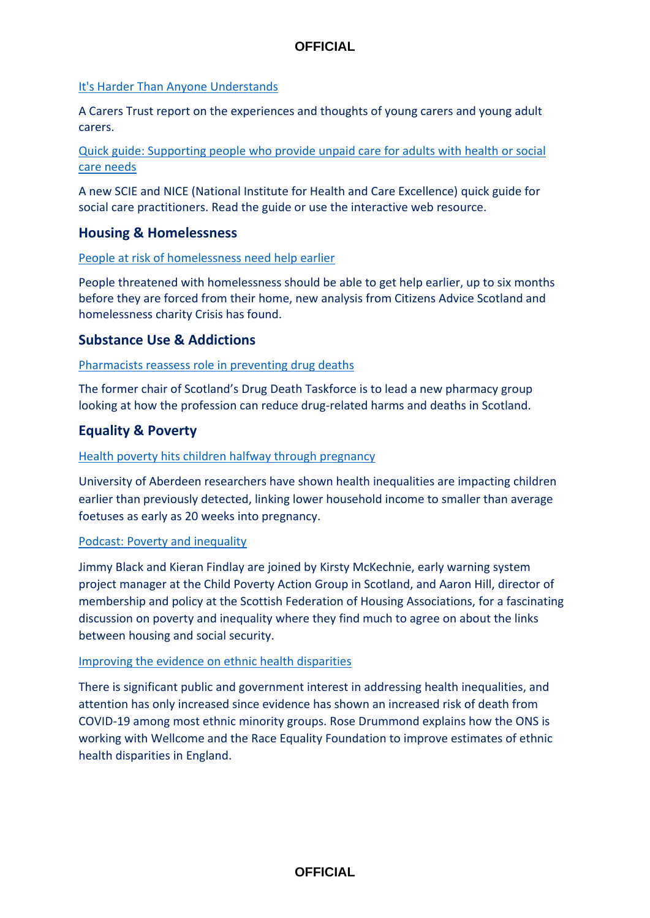## [It's Harder Than Anyone Understands](https://carers.org/news-and-media/news/post/175-its-harder-than-anyone-understands-and-i-feel-like-iam-drowning)

A Carers Trust report on the experiences and thoughts of young carers and young adult carers.

[Quick guide: Supporting people who provide unpaid care for adults with health or social](https://www.scie.org.uk/carers/supporting-carers/quick-guide?utm_campaign=13147059_SCIELine%2020%20April%202022&utm_medium=email&utm_source=SOCIAL%20CARE%20INSTITUTE%20FOR%20EXCELLENCE%20&utm_sfid=&utm_role=&dm_i=4O5,7TSC3,8HIRMU,VXYUD,1)  [care needs](https://www.scie.org.uk/carers/supporting-carers/quick-guide?utm_campaign=13147059_SCIELine%2020%20April%202022&utm_medium=email&utm_source=SOCIAL%20CARE%20INSTITUTE%20FOR%20EXCELLENCE%20&utm_sfid=&utm_role=&dm_i=4O5,7TSC3,8HIRMU,VXYUD,1)

A new SCIE and NICE (National Institute for Health and Care Excellence) quick guide for social care practitioners. Read the guide or use the interactive web resource.

## **Housing & Homelessness**

### [People at risk of homelessness need help earlier](https://www.cas.org.uk/news/people-risk-homelessness-need-help-earlier)

People threatened with homelessness should be able to get help earlier, up to six months before they are forced from their home, new analysis from Citizens Advice Scotland and homelessness charity Crisis has found.

## **Substance Use & Addictions**

### [Pharmacists reassess role in preventing drug deaths](https://healthandcare.scot/default.asp?page=story&story=3060)

The former chair of Scotland's Drug Death Taskforce is to lead a new pharmacy group looking at how the profession can reduce drug-related harms and deaths in Scotland.

## **Equality & Poverty**

### [Health poverty hits children halfway through pregnancy](https://healthandcare.scot/default.asp?page=story&story=3067)

University of Aberdeen researchers have shown health inequalities are impacting children earlier than previously detected, linking lower household income to smaller than average foetuses as early as 20 weeks into pregnancy.

#### [Podcast: Poverty and inequality](https://www.scottishhousingnews.com/articles/podcast-poverty-and-inequality-with-aaron-hill-and-kirsty-mckechnie)

Jimmy Black and Kieran Findlay are joined by Kirsty McKechnie, early warning system project manager at the Child Poverty Action Group in Scotland, and Aaron Hill, director of membership and policy at the Scottish Federation of Housing Associations, for a fascinating discussion on poverty and inequality where they find much to agree on about the links between housing and social security.

#### [Improving the evidence on ethnic health disparities](https://blog.ons.gov.uk/2022/04/13/improving-the-evidence-on-ethnic-health-disparities/)

There is significant public and government interest in addressing health inequalities, and attention has only increased since evidence has shown an increased risk of death from COVID-19 among most ethnic minority groups. Rose Drummond explains how the ONS is working with Wellcome and the Race Equality Foundation to improve estimates of ethnic health disparities in England.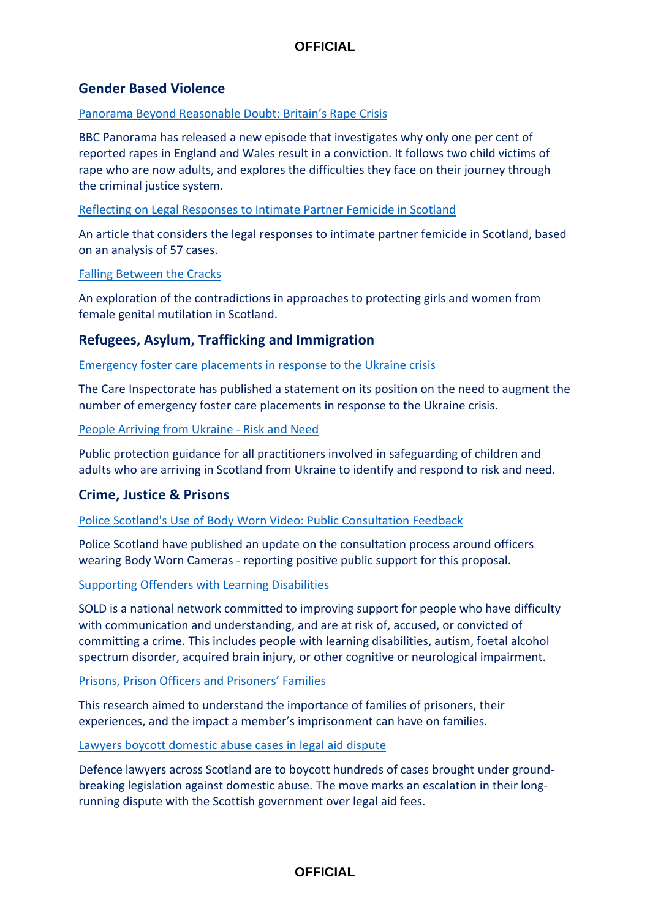## **Gender Based Violence**

#### [Panorama Beyond Reasonable Doubt: Britain's Rape Crisis](https://www.bbc.co.uk/iplayer/episode/m0015pmk/panorama-beyond-reasonable-doubt-britains-rape-crisis)

BBC Panorama has released a new episode that investigates why only one per cent of reported rapes in England and Wales result in a conviction. It follows two child victims of rape who are now adults, and explores the difficulties they face on their journey through the criminal justice system.

#### [Reflecting on Legal Responses to Intimate Partner Femicide in Scotland](http://eprints.gla.ac.uk/257421/5/257421.pdf)

An article that considers the legal responses to intimate partner femicide in Scotland, based on an analysis of 57 cases.

#### [Falling Between the Cracks](https://strathprints.strath.ac.uk/78721/)

An exploration of the contradictions in approaches to protecting girls and women from female genital mutilation in Scotland.

## **Refugees, Asylum, Trafficking and Immigration**

#### [Emergency foster care placements in response to the Ukraine crisis](https://www.careinspectorate.com/images/documents/mar22/CI_response_to_Foster_Placements_as_a_result_of_Ukraine_crisis.pdf)

The Care Inspectorate has published a statement on its position on the need to augment the number of emergency foster care placements in response to the Ukraine crisis.

#### [People Arriving from Ukraine -](https://www.gov.scot/publications/people-arriving-from-ukraine-risk-and-need-public-protection-guidance/documents/) Risk and Need

Public protection guidance for all practitioners involved in safeguarding of children and adults who are arriving in Scotland from Ukraine to identify and respond to risk and need.

## **Crime, Justice & Prisons**

#### [Police Scotland's Use of Body Worn Video: Public Consultation Feedback](https://consult.scotland.police.uk/strategy-insight-and-innovation/police-scotlands-use-of-body-worn-video-public-con/)

Police Scotland have published an update on the consultation process around officers wearing Body Worn Cameras - reporting positive public support for this proposal.

#### [Supporting Offenders with Learning Disabilities](https://soldnetwork.org.uk/)

SOLD is a national network committed to improving support for people who have difficulty with communication and understanding, and are at risk of, accused, or convicted of committing a crime. This includes people with learning disabilities, autism, foetal alcohol spectrum disorder, acquired brain injury, or other cognitive or neurological impairment.

#### [Prisons, Prison Officers and Prisoners' Families](https://www.sccjr.ac.uk/publications/prisons-prison-officers-and-prisoners-families-full-report/)

This research aimed to understand the importance of families of prisoners, their experiences, and the impact a member's imprisonment can have on families.

### [Lawyers boycott domestic abuse cases in legal aid dispute](https://www.bbc.co.uk/news/uk-scotland-61207336)

Defence lawyers across Scotland are to boycott hundreds of cases brought under groundbreaking legislation against domestic abuse. The move marks an escalation in their longrunning dispute with the Scottish government over legal aid fees.